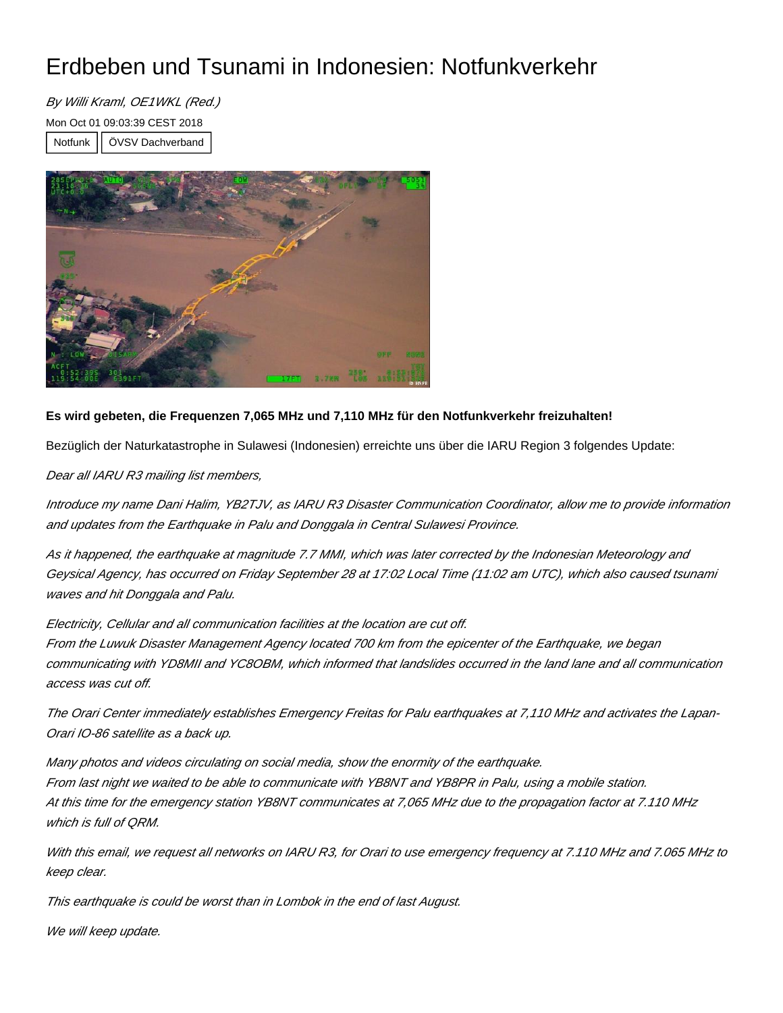## Erdbeben und Tsunami in Indonesien: Notfunkverkehr

By Willi Kraml, OE1WKL (Red.) Mon Oct 01 09:03:39 CEST 2018 Notfunk | ÖVSV Dachverband



## **Es wird gebeten, die Frequenzen 7,065 MHz und 7,110 MHz für den Notfunkverkehr freizuhalten!**

Bezüglich der Naturkatastrophe in Sulawesi (Indonesien) erreichte uns über die IARU Region 3 folgendes Update:

Dear all IARU R3 mailing list members,

Introduce my name Dani Halim, YB2TJV, as IARU R3 Disaster Communication Coordinator, allow me to provide information and updates from the Earthquake in Palu and Donggala in Central Sulawesi Province.

As it happened, the earthquake at magnitude 7.7 MMI, which was later corrected by the Indonesian Meteorology and Geysical Agency, has occurred on Friday September 28 at 17:02 Local Time (11:02 am UTC), which also caused tsunami waves and hit Donggala and Palu.

Electricity, Cellular and all communication facilities at the location are cut off. From the Luwuk Disaster Management Agency located 700 km from the epicenter of the Earthquake, we began communicating with YD8MII and YC8OBM, which informed that landslides occurred in the land lane and all communication access was cut off.

The Orari Center immediately establishes Emergency Freitas for Palu earthquakes at 7,110 MHz and activates the Lapan-Orari IO-86 satellite as a back up.

Many photos and videos circulating on social media, show the enormity of the earthquake. From last night we waited to be able to communicate with YB8NT and YB8PR in Palu, using a mobile station. At this time for the emergency station YB8NT communicates at 7,065 MHz due to the propagation factor at 7.110 MHz which is full of QRM.

With this email, we request all networks on IARU R3, for Orari to use emergency frequency at 7.110 MHz and 7.065 MHz to keep clear.

This earthquake is could be worst than in Lombok in the end of last August.

We will keep update.